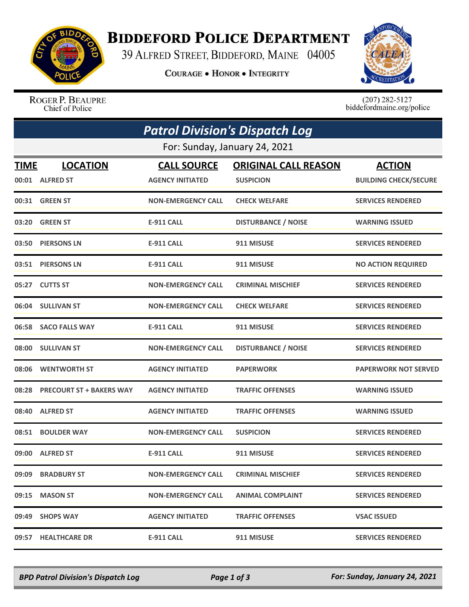

## **BIDDEFORD POLICE DEPARTMENT**

39 ALFRED STREET, BIDDEFORD, MAINE 04005

**COURAGE . HONOR . INTEGRITY** 



ROGER P. BEAUPRE Chief of Police

 $(207)$  282-5127<br>biddefordmaine.org/police

| <b>Patrol Division's Dispatch Log</b> |                                |                           |                             |                              |  |  |  |
|---------------------------------------|--------------------------------|---------------------------|-----------------------------|------------------------------|--|--|--|
| For: Sunday, January 24, 2021         |                                |                           |                             |                              |  |  |  |
| TIME                                  | <b>LOCATION</b>                | <b>CALL SOURCE</b>        | <b>ORIGINAL CALL REASON</b> | <b>ACTION</b>                |  |  |  |
|                                       | 00:01 ALFRED ST                | <b>AGENCY INITIATED</b>   | <b>SUSPICION</b>            | <b>BUILDING CHECK/SECURE</b> |  |  |  |
|                                       | 00:31 GREEN ST                 | <b>NON-EMERGENCY CALL</b> | <b>CHECK WELFARE</b>        | <b>SERVICES RENDERED</b>     |  |  |  |
| 03:20                                 | <b>GREEN ST</b>                | <b>E-911 CALL</b>         | <b>DISTURBANCE / NOISE</b>  | <b>WARNING ISSUED</b>        |  |  |  |
| 03:50                                 | <b>PIERSONS LN</b>             | <b>E-911 CALL</b>         | 911 MISUSE                  | <b>SERVICES RENDERED</b>     |  |  |  |
|                                       | 03:51 PIERSONS LN              | <b>E-911 CALL</b>         | 911 MISUSE                  | <b>NO ACTION REQUIRED</b>    |  |  |  |
|                                       | 05:27 CUTTS ST                 | <b>NON-EMERGENCY CALL</b> | <b>CRIMINAL MISCHIEF</b>    | <b>SERVICES RENDERED</b>     |  |  |  |
|                                       | 06:04 SULLIVAN ST              | <b>NON-EMERGENCY CALL</b> | <b>CHECK WELFARE</b>        | <b>SERVICES RENDERED</b>     |  |  |  |
|                                       | 06:58 SACO FALLS WAY           | <b>E-911 CALL</b>         | 911 MISUSE                  | <b>SERVICES RENDERED</b>     |  |  |  |
|                                       | 08:00 SULLIVAN ST              | <b>NON-EMERGENCY CALL</b> | <b>DISTURBANCE / NOISE</b>  | <b>SERVICES RENDERED</b>     |  |  |  |
| 08:06                                 | <b>WENTWORTH ST</b>            | <b>AGENCY INITIATED</b>   | <b>PAPERWORK</b>            | <b>PAPERWORK NOT SERVED</b>  |  |  |  |
|                                       | 08:28 PRECOURT ST + BAKERS WAY | <b>AGENCY INITIATED</b>   | <b>TRAFFIC OFFENSES</b>     | <b>WARNING ISSUED</b>        |  |  |  |
| 08:40                                 | <b>ALFRED ST</b>               | <b>AGENCY INITIATED</b>   | <b>TRAFFIC OFFENSES</b>     | <b>WARNING ISSUED</b>        |  |  |  |
| 08:51                                 | <b>BOULDER WAY</b>             | <b>NON-EMERGENCY CALL</b> | <b>SUSPICION</b>            | <b>SERVICES RENDERED</b>     |  |  |  |
| 09:00                                 | <b>ALFRED ST</b>               | <b>E-911 CALL</b>         | 911 MISUSE                  | <b>SERVICES RENDERED</b>     |  |  |  |
| 09:09                                 | <b>BRADBURY ST</b>             | <b>NON-EMERGENCY CALL</b> | <b>CRIMINAL MISCHIEF</b>    | <b>SERVICES RENDERED</b>     |  |  |  |
| 09:15                                 | <b>MASON ST</b>                | <b>NON-EMERGENCY CALL</b> | <b>ANIMAL COMPLAINT</b>     | <b>SERVICES RENDERED</b>     |  |  |  |
| 09:49                                 | <b>SHOPS WAY</b>               | <b>AGENCY INITIATED</b>   | <b>TRAFFIC OFFENSES</b>     | <b>VSAC ISSUED</b>           |  |  |  |
|                                       | 09:57 HEALTHCARE DR            | <b>E-911 CALL</b>         | 911 MISUSE                  | <b>SERVICES RENDERED</b>     |  |  |  |

*BPD Patrol Division's Dispatch Log Page 1 of 3 For: Sunday, January 24, 2021*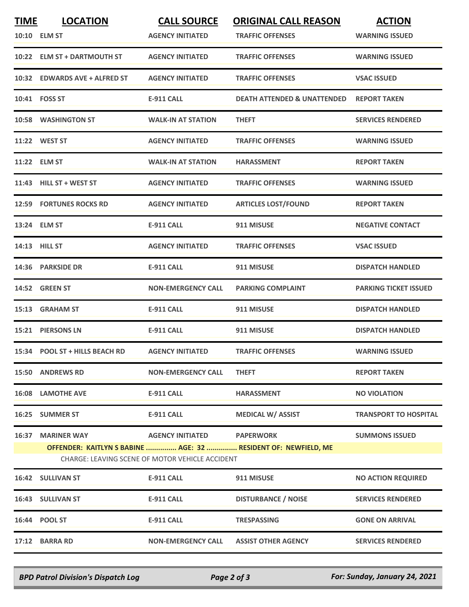| <b>TIME</b> | <b>LOCATION</b><br>10:10 ELM ST | <b>CALL SOURCE</b><br><b>AGENCY INITIATED</b>                                 | <b>ORIGINAL CALL REASON</b><br><b>TRAFFIC OFFENSES</b>         | <b>ACTION</b><br><b>WARNING ISSUED</b> |
|-------------|---------------------------------|-------------------------------------------------------------------------------|----------------------------------------------------------------|----------------------------------------|
|             | 10:22 ELM ST + DARTMOUTH ST     | <b>AGENCY INITIATED</b>                                                       | <b>TRAFFIC OFFENSES</b>                                        | <b>WARNING ISSUED</b>                  |
|             | 10:32 EDWARDS AVE + ALFRED ST   | <b>AGENCY INITIATED</b>                                                       | <b>TRAFFIC OFFENSES</b>                                        | <b>VSAC ISSUED</b>                     |
|             | 10:41 FOSS ST                   | E-911 CALL                                                                    | <b>DEATH ATTENDED &amp; UNATTENDED</b>                         | <b>REPORT TAKEN</b>                    |
|             | <b>10:58 WASHINGTON ST</b>      | <b>WALK-IN AT STATION</b>                                                     | <b>THEFT</b>                                                   | <b>SERVICES RENDERED</b>               |
|             | 11:22 WEST ST                   | <b>AGENCY INITIATED</b>                                                       | <b>TRAFFIC OFFENSES</b>                                        | <b>WARNING ISSUED</b>                  |
|             | 11:22 ELM ST                    | <b>WALK-IN AT STATION</b>                                                     | <b>HARASSMENT</b>                                              | <b>REPORT TAKEN</b>                    |
|             | 11:43 HILL ST + WEST ST         | <b>AGENCY INITIATED</b>                                                       | <b>TRAFFIC OFFENSES</b>                                        | <b>WARNING ISSUED</b>                  |
|             | <b>12:59 FORTUNES ROCKS RD</b>  | <b>AGENCY INITIATED</b>                                                       | <b>ARTICLES LOST/FOUND</b>                                     | <b>REPORT TAKEN</b>                    |
|             | 13:24 ELM ST                    | <b>E-911 CALL</b>                                                             | 911 MISUSE                                                     | <b>NEGATIVE CONTACT</b>                |
|             | 14:13 HILL ST                   | <b>AGENCY INITIATED</b>                                                       | <b>TRAFFIC OFFENSES</b>                                        | <b>VSAC ISSUED</b>                     |
|             | 14:36 PARKSIDE DR               | <b>E-911 CALL</b>                                                             | 911 MISUSE                                                     | <b>DISPATCH HANDLED</b>                |
|             | 14:52 GREEN ST                  | <b>NON-EMERGENCY CALL</b>                                                     | <b>PARKING COMPLAINT</b>                                       | <b>PARKING TICKET ISSUED</b>           |
|             | 15:13 GRAHAM ST                 | <b>E-911 CALL</b>                                                             | 911 MISUSE                                                     | <b>DISPATCH HANDLED</b>                |
|             | 15:21 PIERSONS LN               | <b>E-911 CALL</b>                                                             | 911 MISUSE                                                     | <b>DISPATCH HANDLED</b>                |
|             | 15:34 POOL ST + HILLS BEACH RD  | <b>AGENCY INITIATED</b>                                                       | <b>TRAFFIC OFFENSES</b>                                        | <b>WARNING ISSUED</b>                  |
|             | 15:50 ANDREWS RD                | <b>NON-EMERGENCY CALL</b>                                                     | <b>THEFT</b>                                                   | <b>REPORT TAKEN</b>                    |
|             | <b>16:08 LAMOTHE AVE</b>        | <b>E-911 CALL</b>                                                             | <b>HARASSMENT</b>                                              | <b>NO VIOLATION</b>                    |
|             | 16:25 SUMMER ST                 | E-911 CALL                                                                    | <b>MEDICAL W/ ASSIST</b>                                       | <b>TRANSPORT TO HOSPITAL</b>           |
|             | <b>16:37 MARINER WAY</b>        | AGENCY INITIATED PAPERWORK<br>CHARGE: LEAVING SCENE OF MOTOR VEHICLE ACCIDENT | OFFENDER: KAITLYN S BABINE  AGE: 32  RESIDENT OF: NEWFIELD, ME | <b>SUMMONS ISSUED</b>                  |
|             | 16:42 SULLIVAN ST               | <b>E-911 CALL</b>                                                             | 911 MISUSE                                                     | <b>NO ACTION REQUIRED</b>              |
|             | 16:43 SULLIVAN ST               | <b>E-911 CALL</b>                                                             | <b>DISTURBANCE / NOISE</b>                                     | <b>SERVICES RENDERED</b>               |
|             | 16:44 POOL ST                   | <b>E-911 CALL</b>                                                             | <b>TRESPASSING</b>                                             | <b>GONE ON ARRIVAL</b>                 |
|             | 17:12 BARRA RD                  | <b>NON-EMERGENCY CALL</b>                                                     | <b>ASSIST OTHER AGENCY</b>                                     | <b>SERVICES RENDERED</b>               |

*BPD Patrol Division's Dispatch Log Page 2 of 3 For: Sunday, January 24, 2021*